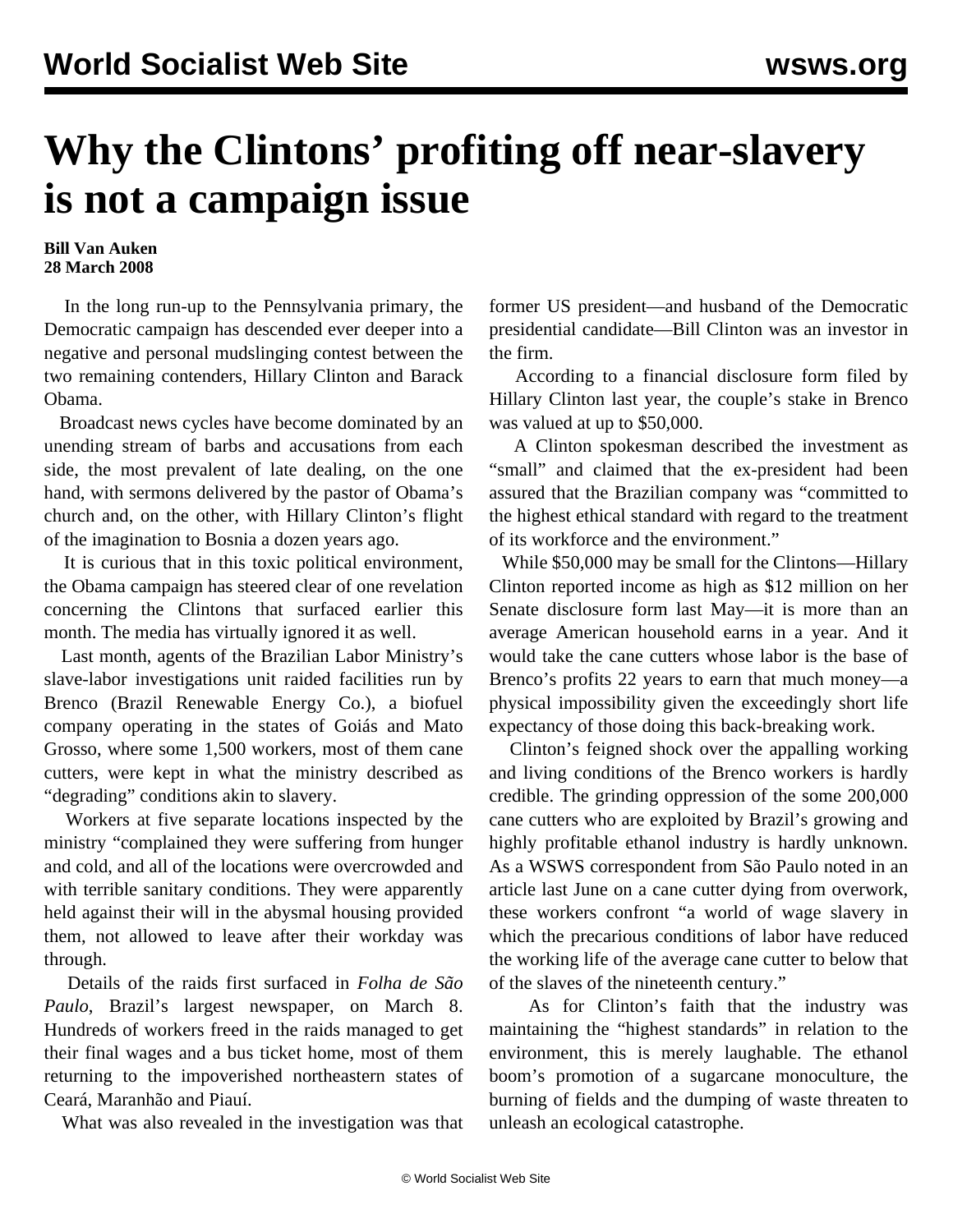## **Why the Clintons' profiting off near-slavery is not a campaign issue**

## **Bill Van Auken 28 March 2008**

 In the long run-up to the Pennsylvania primary, the Democratic campaign has descended ever deeper into a negative and personal mudslinging contest between the two remaining contenders, Hillary Clinton and Barack Obama.

 Broadcast news cycles have become dominated by an unending stream of barbs and accusations from each side, the most prevalent of late dealing, on the one hand, with sermons delivered by the pastor of Obama's church and, on the other, with Hillary Clinton's flight of the imagination to Bosnia a dozen years ago.

 It is curious that in this toxic political environment, the Obama campaign has steered clear of one revelation concerning the Clintons that surfaced earlier this month. The media has virtually ignored it as well.

 Last month, agents of the Brazilian Labor Ministry's slave-labor investigations unit raided facilities run by Brenco (Brazil Renewable Energy Co.), a biofuel company operating in the states of Goiás and Mato Grosso, where some 1,500 workers, most of them cane cutters, were kept in what the ministry described as "degrading" conditions akin to slavery.

 Workers at five separate locations inspected by the ministry "complained they were suffering from hunger and cold, and all of the locations were overcrowded and with terrible sanitary conditions. They were apparently held against their will in the abysmal housing provided them, not allowed to leave after their workday was through.

 Details of the raids first surfaced in *Folha de São Paulo*, Brazil's largest newspaper, on March 8. Hundreds of workers freed in the raids managed to get their final wages and a bus ticket home, most of them returning to the impoverished northeastern states of Ceará, Maranhão and Piauí.

What was also revealed in the investigation was that

former US president—and husband of the Democratic presidential candidate—Bill Clinton was an investor in the firm.

 According to a financial disclosure form filed by Hillary Clinton last year, the couple's stake in Brenco was valued at up to \$50,000.

 A Clinton spokesman described the investment as "small" and claimed that the ex-president had been assured that the Brazilian company was "committed to the highest ethical standard with regard to the treatment of its workforce and the environment."

 While \$50,000 may be small for the Clintons—Hillary Clinton reported income as high as \$12 million on her Senate disclosure form last May—it is more than an average American household earns in a year. And it would take the cane cutters whose labor is the base of Brenco's profits 22 years to earn that much money—a physical impossibility given the exceedingly short life expectancy of those doing this back-breaking work.

 Clinton's feigned shock over the appalling working and living conditions of the Brenco workers is hardly credible. The grinding oppression of the some 200,000 cane cutters who are exploited by Brazil's growing and highly profitable ethanol industry is hardly unknown. As a WSWS correspondent from São Paulo noted in an article last June on a cane cutter dying from overwork, these workers confront "a world of wage slavery in which the precarious conditions of labor have reduced the working life of the average cane cutter to below that of the slaves of the nineteenth century."

 As for Clinton's faith that the industry was maintaining the "highest standards" in relation to the environment, this is merely laughable. The ethanol boom's promotion of a sugarcane monoculture, the burning of fields and the dumping of waste threaten to unleash an ecological catastrophe.